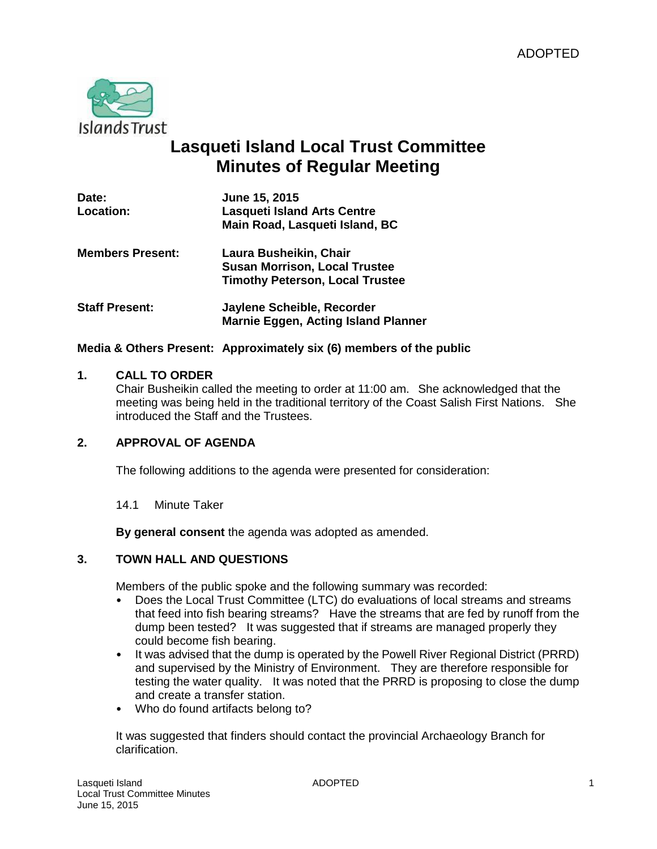

# **Lasqueti Island Local Trust Committee Minutes of Regular Meeting**

| Date:<br>Location:      | June 15, 2015<br><b>Lasqueti Island Arts Centre</b><br>Main Road, Lasqueti Island, BC                    |
|-------------------------|----------------------------------------------------------------------------------------------------------|
| <b>Members Present:</b> | Laura Busheikin, Chair<br><b>Susan Morrison, Local Trustee</b><br><b>Timothy Peterson, Local Trustee</b> |
| <b>Staff Present:</b>   | Jaylene Scheible, Recorder<br><b>Marnie Eggen, Acting Island Planner</b>                                 |

### **Media & Others Present: Approximately six (6) members of the public**

#### **1. CALL TO ORDER**

Chair Busheikin called the meeting to order at 11:00 am. She acknowledged that the meeting was being held in the traditional territory of the Coast Salish First Nations. She introduced the Staff and the Trustees.

### **2. APPROVAL OF AGENDA**

The following additions to the agenda were presented for consideration:

#### 14.1 Minute Taker

**By general consent** the agenda was adopted as amended.

### **3. TOWN HALL AND QUESTIONS**

Members of the public spoke and the following summary was recorded:

- Does the Local Trust Committee (LTC) do evaluations of local streams and streams that feed into fish bearing streams? Have the streams that are fed by runoff from the dump been tested? It was suggested that if streams are managed properly they could become fish bearing.
- It was advised that the dump is operated by the Powell River Regional District (PRRD) and supervised by the Ministry of Environment. They are therefore responsible for testing the water quality. It was noted that the PRRD is proposing to close the dump and create a transfer station.
- Who do found artifacts belong to?

It was suggested that finders should contact the provincial Archaeology Branch for clarification.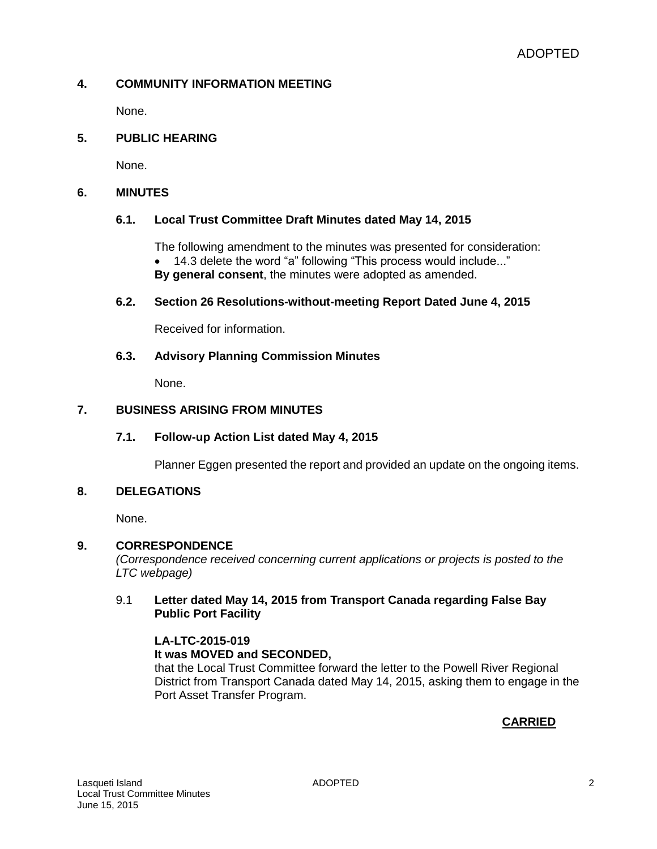### **4. COMMUNITY INFORMATION MEETING**

None.

### **5. PUBLIC HEARING**

None.

### **6. MINUTES**

### **6.1. Local Trust Committee Draft Minutes dated May 14, 2015**

The following amendment to the minutes was presented for consideration: 14.3 delete the word "a" following "This process would include..." **By general consent**, the minutes were adopted as amended.

### **6.2. Section 26 Resolutions-without-meeting Report Dated June 4, 2015**

Received for information.

### **6.3. Advisory Planning Commission Minutes**

None.

### **7. BUSINESS ARISING FROM MINUTES**

### **7.1. Follow-up Action List dated May 4, 2015**

Planner Eggen presented the report and provided an update on the ongoing items.

### **8. DELEGATIONS**

None.

### **9. CORRESPONDENCE**

*(Correspondence received concerning current applications or projects is posted to the LTC webpage)*

### 9.1 **Letter dated May 14, 2015 from Transport Canada regarding False Bay Public Port Facility**

#### **LA-LTC-2015-019 It was MOVED and SECONDED,**

that the Local Trust Committee forward the letter to the Powell River Regional District from Transport Canada dated May 14, 2015, asking them to engage in the Port Asset Transfer Program.

# **CARRIED**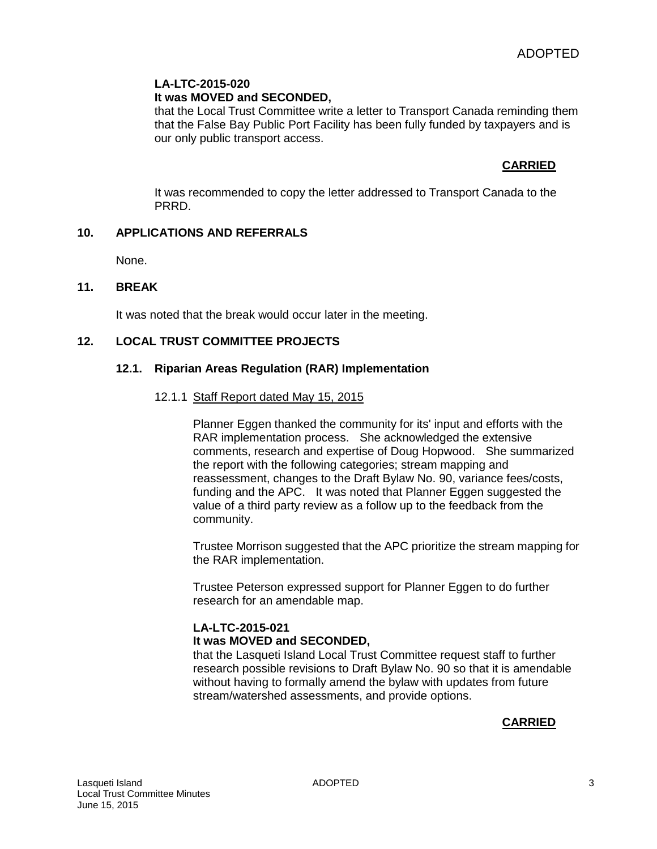### **LA-LTC-2015-020**

### **It was MOVED and SECONDED,**

that the Local Trust Committee write a letter to Transport Canada reminding them that the False Bay Public Port Facility has been fully funded by taxpayers and is our only public transport access.

### **CARRIED**

It was recommended to copy the letter addressed to Transport Canada to the PRRD.

### **10. APPLICATIONS AND REFERRALS**

None.

### **11. BREAK**

It was noted that the break would occur later in the meeting.

### **12. LOCAL TRUST COMMITTEE PROJECTS**

### **12.1. Riparian Areas Regulation (RAR) Implementation**

#### 12.1.1 Staff Report dated May 15, 2015

Planner Eggen thanked the community for its' input and efforts with the RAR implementation process. She acknowledged the extensive comments, research and expertise of Doug Hopwood. She summarized the report with the following categories; stream mapping and reassessment, changes to the Draft Bylaw No. 90, variance fees/costs, funding and the APC. It was noted that Planner Eggen suggested the value of a third party review as a follow up to the feedback from the community.

Trustee Morrison suggested that the APC prioritize the stream mapping for the RAR implementation.

Trustee Peterson expressed support for Planner Eggen to do further research for an amendable map.

### **LA-LTC-2015-021 It was MOVED and SECONDED,**

that the Lasqueti Island Local Trust Committee request staff to further research possible revisions to Draft Bylaw No. 90 so that it is amendable without having to formally amend the bylaw with updates from future stream/watershed assessments, and provide options.

### **CARRIED**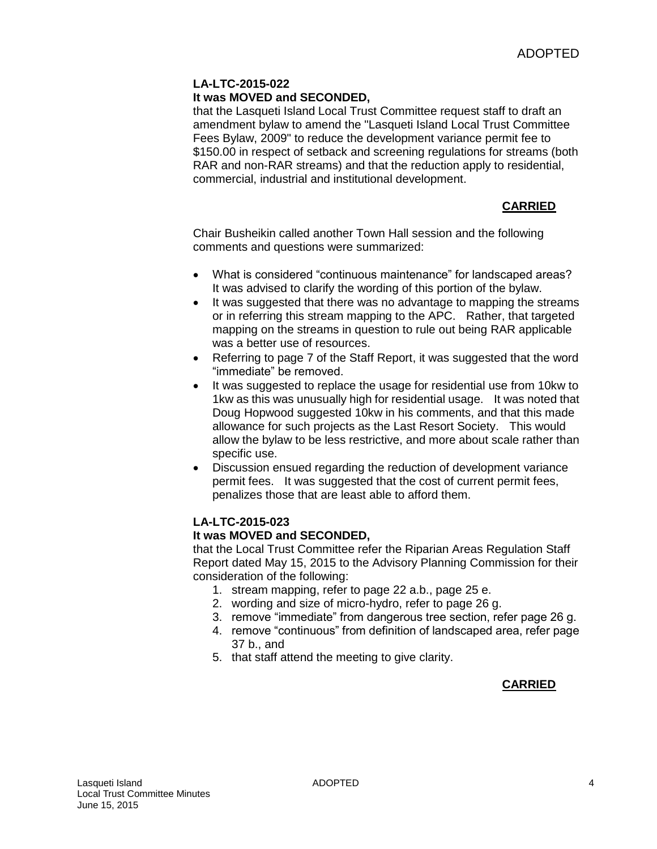### **LA-LTC-2015-022 It was MOVED and SECONDED,**

that the Lasqueti Island Local Trust Committee request staff to draft an amendment bylaw to amend the "Lasqueti Island Local Trust Committee Fees Bylaw, 2009" to reduce the development variance permit fee to \$150.00 in respect of setback and screening regulations for streams (both RAR and non-RAR streams) and that the reduction apply to residential, commercial, industrial and institutional development.

## **CARRIED**

Chair Busheikin called another Town Hall session and the following comments and questions were summarized:

- What is considered "continuous maintenance" for landscaped areas? It was advised to clarify the wording of this portion of the bylaw.
- It was suggested that there was no advantage to mapping the streams or in referring this stream mapping to the APC. Rather, that targeted mapping on the streams in question to rule out being RAR applicable was a better use of resources.
- Referring to page 7 of the Staff Report, it was suggested that the word "immediate" be removed.
- It was suggested to replace the usage for residential use from 10kw to 1kw as this was unusually high for residential usage. It was noted that Doug Hopwood suggested 10kw in his comments, and that this made allowance for such projects as the Last Resort Society. This would allow the bylaw to be less restrictive, and more about scale rather than specific use.
- Discussion ensued regarding the reduction of development variance permit fees. It was suggested that the cost of current permit fees, penalizes those that are least able to afford them.

### **LA-LTC-2015-023**

### **It was MOVED and SECONDED,**

that the Local Trust Committee refer the Riparian Areas Regulation Staff Report dated May 15, 2015 to the Advisory Planning Commission for their consideration of the following:

- 1. stream mapping, refer to page 22 a.b., page 25 e.
- 2. wording and size of micro-hydro, refer to page 26 g.
- 3. remove "immediate" from dangerous tree section, refer page 26 g.
- 4. remove "continuous" from definition of landscaped area, refer page 37 b., and
- 5. that staff attend the meeting to give clarity.

# **CARRIED**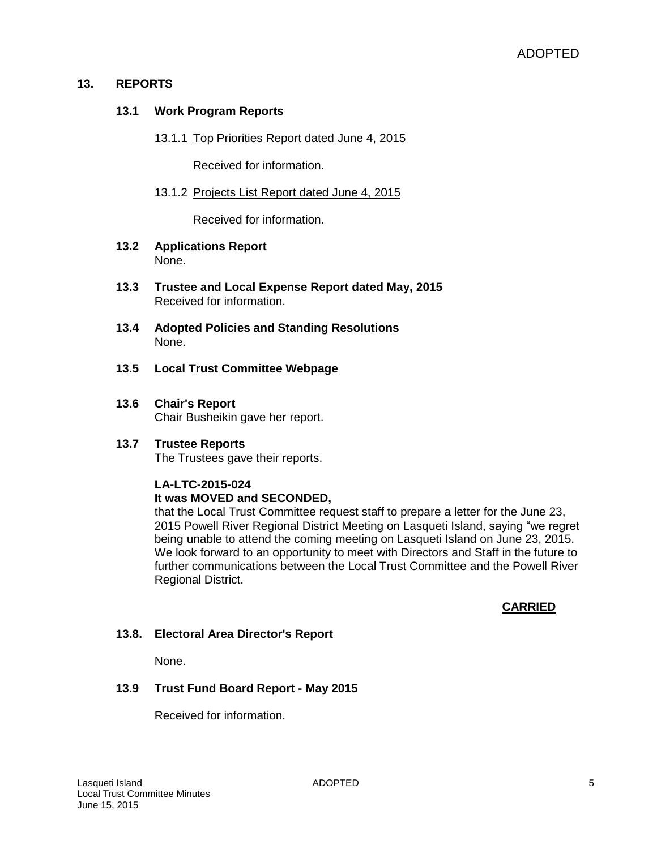### **13. REPORTS**

### **13.1 Work Program Reports**

13.1.1 Top Priorities Report dated June 4, 2015

Received for information.

13.1.2 Projects List Report dated June 4, 2015

Received for information.

- **13.2 Applications Report**  None.
- **13.3 Trustee and Local Expense Report dated May, 2015** Received for information.
- **13.4 Adopted Policies and Standing Resolutions** None.
- **13.5 Local Trust Committee Webpage**
- **13.6 Chair's Report** Chair Busheikin gave her report.

#### **13.7 Trustee Reports** The Trustees gave their reports.

#### **LA-LTC-2015-024 It was MOVED and SECONDED,**

that the Local Trust Committee request staff to prepare a letter for the June 23, 2015 Powell River Regional District Meeting on Lasqueti Island, saying "we regret being unable to attend the coming meeting on Lasqueti Island on June 23, 2015. We look forward to an opportunity to meet with Directors and Staff in the future to further communications between the Local Trust Committee and the Powell River Regional District.

### **CARRIED**

### **13.8. Electoral Area Director's Report**

None.

### **13.9 Trust Fund Board Report - May 2015**

Received for information.